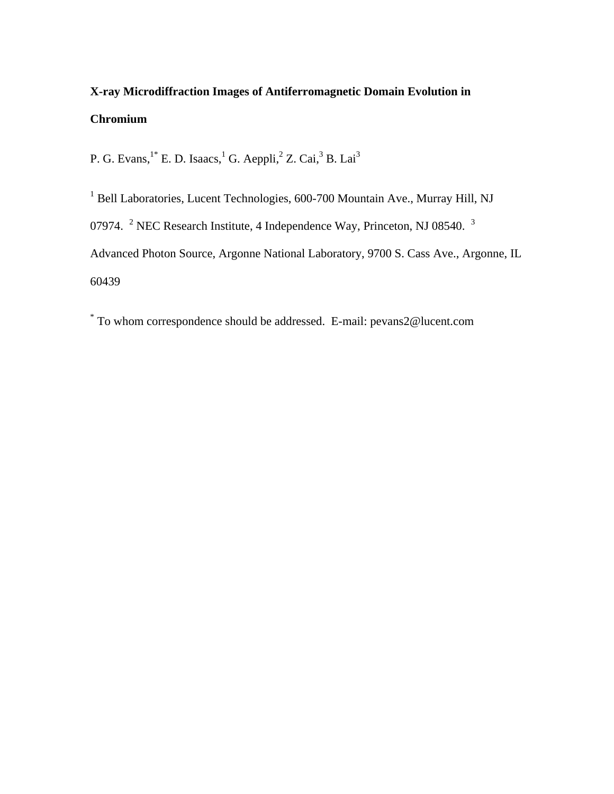## **X-ray Microdiffraction Images of Antiferromagnetic Domain Evolution in Chromium**

P. G. Evans,  $1^*$  E. D. Isaacs, <sup>1</sup> G. Aeppli, <sup>2</sup> Z. Cai, <sup>3</sup> B. Lai<sup>3</sup>

<sup>1</sup> Bell Laboratories, Lucent Technologies, 600-700 Mountain Ave., Murray Hill, NJ 07974. <sup>2</sup> NEC Research Institute, 4 Independence Way, Princeton, NJ 08540.  $3$ Advanced Photon Source, Argonne National Laboratory, 9700 S. Cass Ave., Argonne, IL 60439

\* To whom correspondence should be addressed. E-mail: pevans2@lucent.com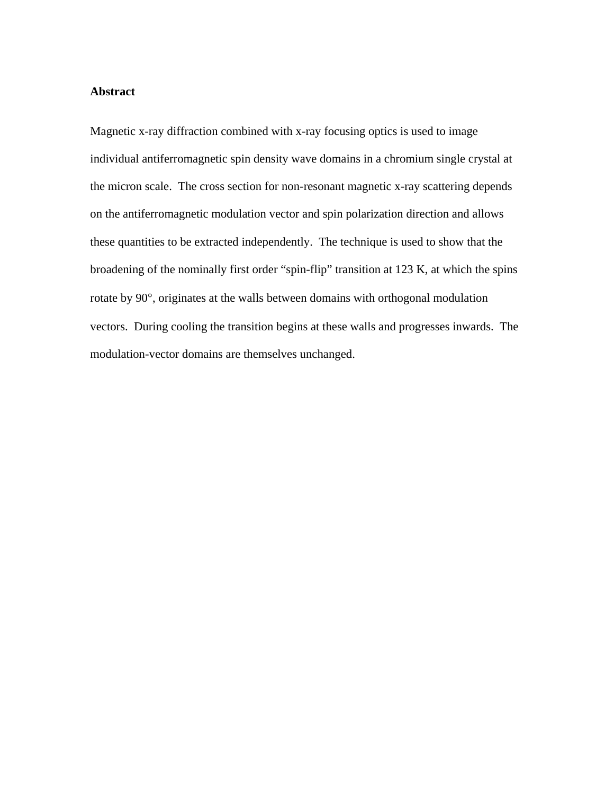## **Abstract**

Magnetic x-ray diffraction combined with x-ray focusing optics is used to image individual antiferromagnetic spin density wave domains in a chromium single crystal at the micron scale. The cross section for non-resonant magnetic x-ray scattering depends on the antiferromagnetic modulation vector and spin polarization direction and allows these quantities to be extracted independently. The technique is used to show that the broadening of the nominally first order "spin-flip" transition at 123 K, at which the spins rotate by 90°, originates at the walls between domains with orthogonal modulation vectors. During cooling the transition begins at these walls and progresses inwards. The modulation-vector domains are themselves unchanged.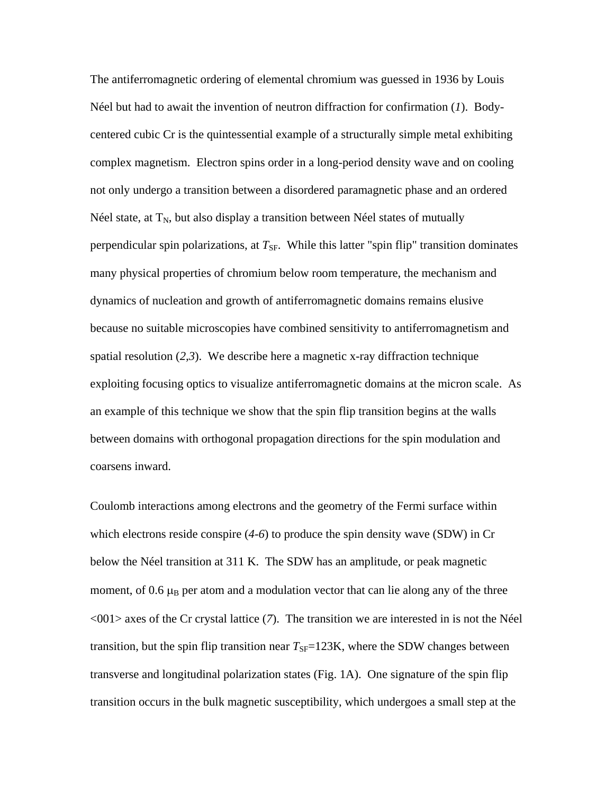The antiferromagnetic ordering of elemental chromium was guessed in 1936 by Louis Néel but had to await the invention of neutron diffraction for confirmation (*1*). Bodycentered cubic Cr is the quintessential example of a structurally simple metal exhibiting complex magnetism. Electron spins order in a long-period density wave and on cooling not only undergo a transition between a disordered paramagnetic phase and an ordered Néel state, at  $T_N$ , but also display a transition between Néel states of mutually perpendicular spin polarizations, at  $T_{SF}$ . While this latter "spin flip" transition dominates many physical properties of chromium below room temperature, the mechanism and dynamics of nucleation and growth of antiferromagnetic domains remains elusive because no suitable microscopies have combined sensitivity to antiferromagnetism and spatial resolution (*2,3*). We describe here a magnetic x-ray diffraction technique exploiting focusing optics to visualize antiferromagnetic domains at the micron scale. As an example of this technique we show that the spin flip transition begins at the walls between domains with orthogonal propagation directions for the spin modulation and coarsens inward.

Coulomb interactions among electrons and the geometry of the Fermi surface within which electrons reside conspire (*4-6*) to produce the spin density wave (SDW) in Cr below the Néel transition at 311 K. The SDW has an amplitude, or peak magnetic moment, of  $0.6 \mu_B$  per atom and a modulation vector that can lie along any of the three <001> axes of the Cr crystal lattice (*7*). The transition we are interested in is not the Néel transition, but the spin flip transition near  $T_{SF}=123K$ , where the SDW changes between transverse and longitudinal polarization states (Fig. 1A). One signature of the spin flip transition occurs in the bulk magnetic susceptibility, which undergoes a small step at the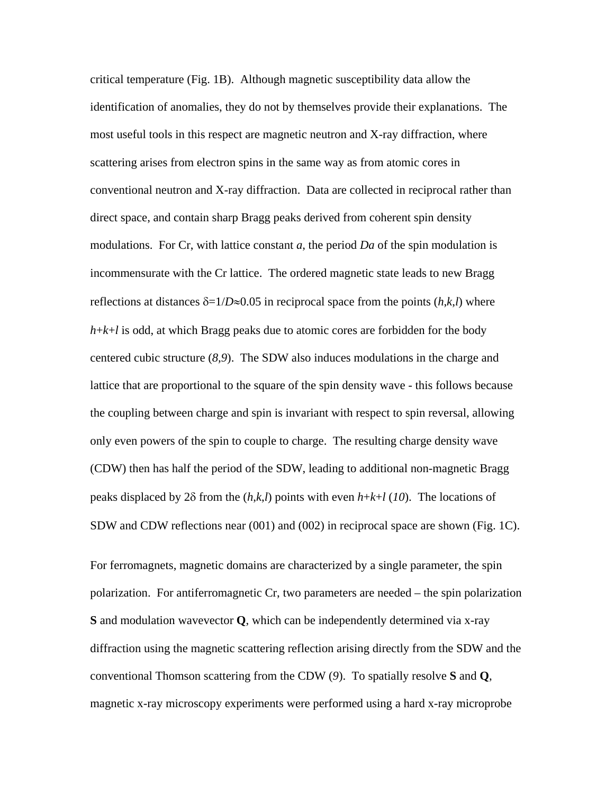critical temperature (Fig. 1B). Although magnetic susceptibility data allow the identification of anomalies, they do not by themselves provide their explanations. The most useful tools in this respect are magnetic neutron and X-ray diffraction, where scattering arises from electron spins in the same way as from atomic cores in conventional neutron and X-ray diffraction. Data are collected in reciprocal rather than direct space, and contain sharp Bragg peaks derived from coherent spin density modulations. For Cr, with lattice constant *a*, the period *Da* of the spin modulation is incommensurate with the Cr lattice. The ordered magnetic state leads to new Bragg reflections at distances  $\delta = 1/D \approx 0.05$  in reciprocal space from the points  $(h, k, l)$  where  $h+k+l$  is odd, at which Bragg peaks due to atomic cores are forbidden for the body centered cubic structure (*8,9*). The SDW also induces modulations in the charge and lattice that are proportional to the square of the spin density wave - this follows because the coupling between charge and spin is invariant with respect to spin reversal, allowing only even powers of the spin to couple to charge. The resulting charge density wave (CDW) then has half the period of the SDW, leading to additional non-magnetic Bragg peaks displaced by 2δ from the (*h*,*k*,*l*) points with even *h*+*k*+*l* (*10*). The locations of SDW and CDW reflections near (001) and (002) in reciprocal space are shown (Fig. 1C).

For ferromagnets, magnetic domains are characterized by a single parameter, the spin polarization. For antiferromagnetic Cr, two parameters are needed – the spin polarization **S** and modulation wavevector **Q**, which can be independently determined via x-ray diffraction using the magnetic scattering reflection arising directly from the SDW and the conventional Thomson scattering from the CDW (*9*). To spatially resolve **S** and **Q**, magnetic x-ray microscopy experiments were performed using a hard x-ray microprobe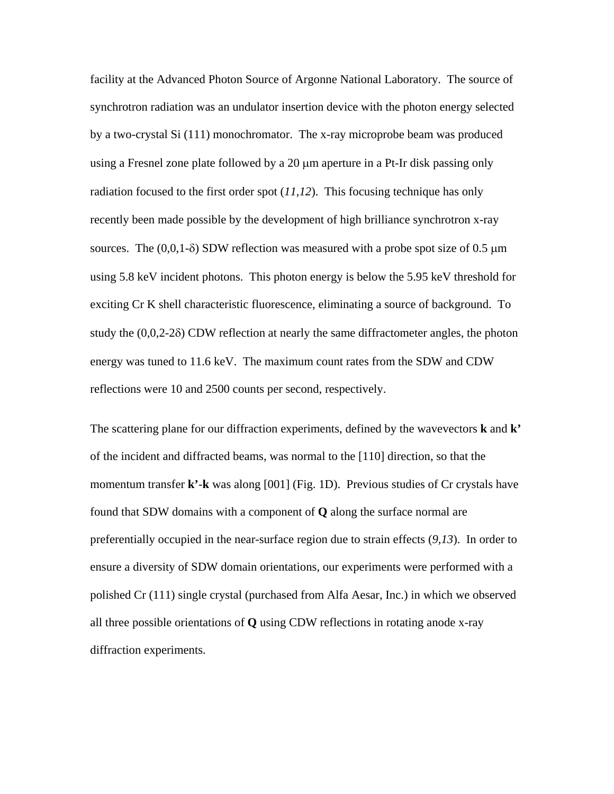facility at the Advanced Photon Source of Argonne National Laboratory. The source of synchrotron radiation was an undulator insertion device with the photon energy selected by a two-crystal Si (111) monochromator. The x-ray microprobe beam was produced using a Fresnel zone plate followed by a 20 μm aperture in a Pt-Ir disk passing only radiation focused to the first order spot (*11,12*). This focusing technique has only recently been made possible by the development of high brilliance synchrotron x-ray sources. The  $(0,0,1-\delta)$  SDW reflection was measured with a probe spot size of 0.5  $\mu$ m using 5.8 keV incident photons. This photon energy is below the 5.95 keV threshold for exciting Cr K shell characteristic fluorescence, eliminating a source of background. To study the (0,0,2-2δ) CDW reflection at nearly the same diffractometer angles, the photon energy was tuned to 11.6 keV. The maximum count rates from the SDW and CDW reflections were 10 and 2500 counts per second, respectively.

The scattering plane for our diffraction experiments, defined by the wavevectors **k** and **k'** of the incident and diffracted beams, was normal to the [110] direction, so that the momentum transfer **k'**-**k** was along [001] (Fig. 1D). Previous studies of Cr crystals have found that SDW domains with a component of **Q** along the surface normal are preferentially occupied in the near-surface region due to strain effects (*9,13*). In order to ensure a diversity of SDW domain orientations, our experiments were performed with a polished Cr (111) single crystal (purchased from Alfa Aesar, Inc.) in which we observed all three possible orientations of **Q** using CDW reflections in rotating anode x-ray diffraction experiments.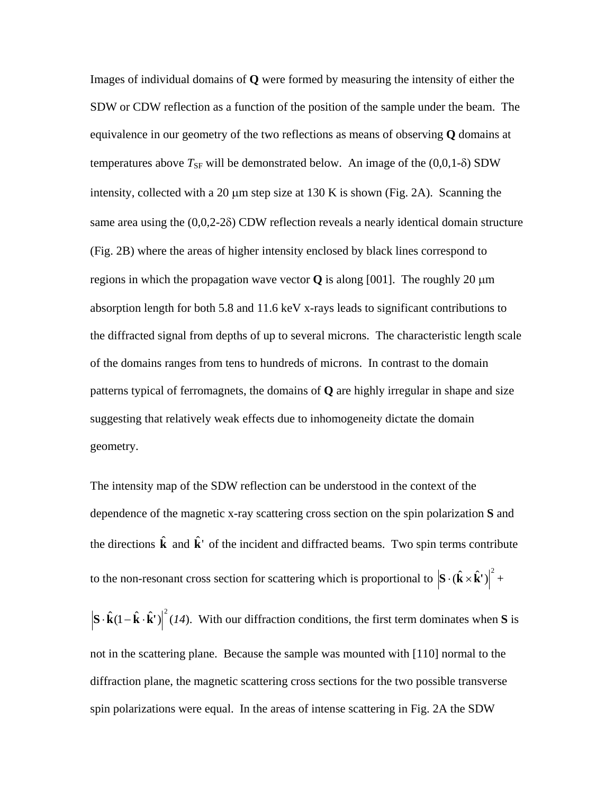Images of individual domains of **Q** were formed by measuring the intensity of either the SDW or CDW reflection as a function of the position of the sample under the beam. The equivalence in our geometry of the two reflections as means of observing **Q** domains at temperatures above  $T_{SF}$  will be demonstrated below. An image of the  $(0,0,1-\delta)$  SDW intensity, collected with a 20  $\mu$ m step size at 130 K is shown (Fig. 2A). Scanning the same area using the (0,0,2-2δ) CDW reflection reveals a nearly identical domain structure (Fig. 2B) where the areas of higher intensity enclosed by black lines correspond to regions in which the propagation wave vector **Q** is along [001]. The roughly 20 μm absorption length for both 5.8 and 11.6 keV x-rays leads to significant contributions to the diffracted signal from depths of up to several microns. The characteristic length scale of the domains ranges from tens to hundreds of microns. In contrast to the domain patterns typical of ferromagnets, the domains of **Q** are highly irregular in shape and size suggesting that relatively weak effects due to inhomogeneity dictate the domain geometry.

The intensity map of the SDW reflection can be understood in the context of the dependence of the magnetic x-ray scattering cross section on the spin polarization **S** and the directions  $\hat{\mathbf{k}}$  and  $\hat{\mathbf{k}}$ <sup>†</sup> of the incident and diffracted beams. Two spin terms contribute to the non-resonant cross section for scattering which is proportional to  $|\mathbf{S} \cdot (\hat{\mathbf{k}} \times \hat{\mathbf{k}}^*)|^2$  +

 $\mathbf{S} \cdot \hat{\mathbf{k}} \cdot (\mathbf{l} - \hat{\mathbf{k}} \cdot \hat{\mathbf{k}}') \big|^2 (14)$ . With our diffraction conditions, the first term dominates when **S** is not in the scattering plane. Because the sample was mounted with [110] normal to the diffraction plane, the magnetic scattering cross sections for the two possible transverse spin polarizations were equal. In the areas of intense scattering in Fig. 2A the SDW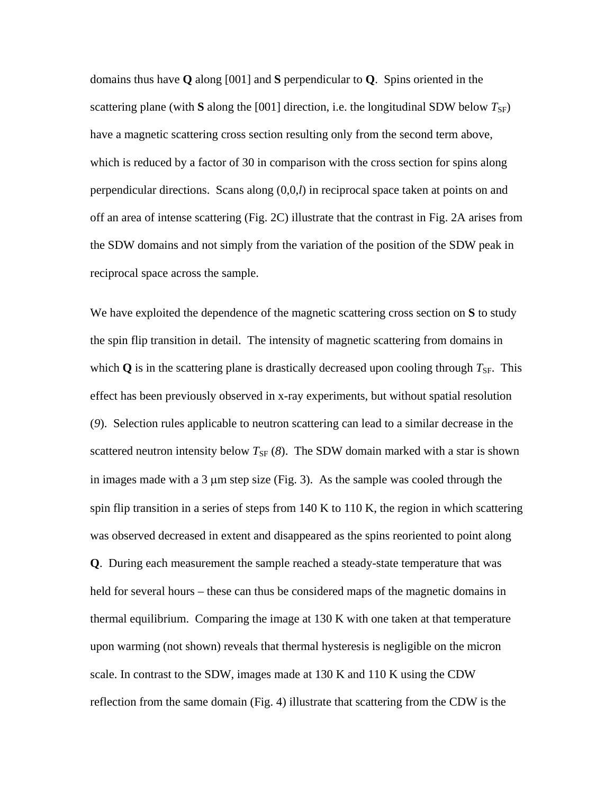domains thus have **Q** along [001] and **S** perpendicular to **Q**. Spins oriented in the scattering plane (with S along the [001] direction, i.e. the longitudinal SDW below  $T_{\rm SF}$ ) have a magnetic scattering cross section resulting only from the second term above, which is reduced by a factor of 30 in comparison with the cross section for spins along perpendicular directions. Scans along (0,0,*l*) in reciprocal space taken at points on and off an area of intense scattering (Fig. 2C) illustrate that the contrast in Fig. 2A arises from the SDW domains and not simply from the variation of the position of the SDW peak in reciprocal space across the sample.

We have exploited the dependence of the magnetic scattering cross section on **S** to study the spin flip transition in detail. The intensity of magnetic scattering from domains in which  $\bf{Q}$  is in the scattering plane is drastically decreased upon cooling through  $T_{\rm SF}$ . This effect has been previously observed in x-ray experiments, but without spatial resolution (*9*). Selection rules applicable to neutron scattering can lead to a similar decrease in the scattered neutron intensity below  $T_{SF}$  (8). The SDW domain marked with a star is shown in images made with a 3 μm step size (Fig. 3). As the sample was cooled through the spin flip transition in a series of steps from  $140 \text{ K}$  to  $110 \text{ K}$ , the region in which scattering was observed decreased in extent and disappeared as the spins reoriented to point along **Q**. During each measurement the sample reached a steady-state temperature that was held for several hours – these can thus be considered maps of the magnetic domains in thermal equilibrium. Comparing the image at 130 K with one taken at that temperature upon warming (not shown) reveals that thermal hysteresis is negligible on the micron scale. In contrast to the SDW, images made at 130 K and 110 K using the CDW reflection from the same domain (Fig. 4) illustrate that scattering from the CDW is the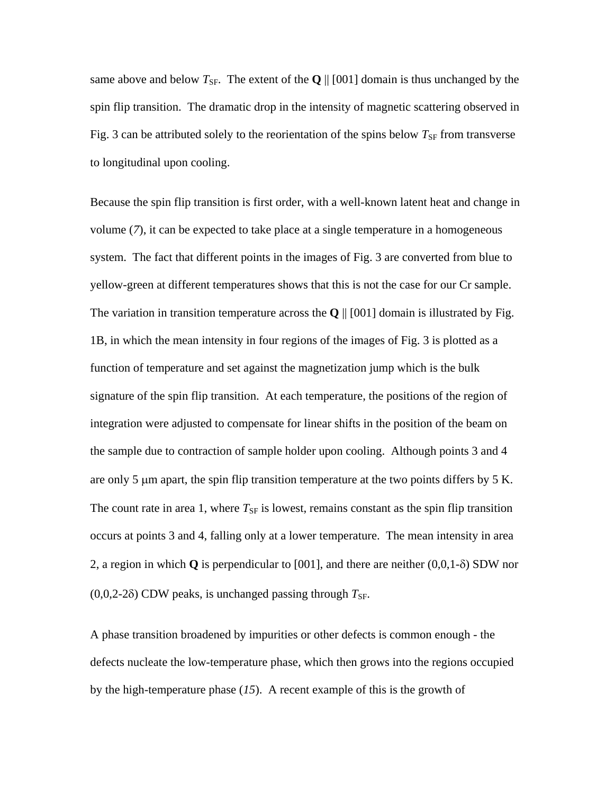same above and below  $T_{SF}$ . The extent of the **Q** || [001] domain is thus unchanged by the spin flip transition. The dramatic drop in the intensity of magnetic scattering observed in Fig. 3 can be attributed solely to the reorientation of the spins below  $T_{SF}$  from transverse to longitudinal upon cooling.

Because the spin flip transition is first order, with a well-known latent heat and change in volume (*7*), it can be expected to take place at a single temperature in a homogeneous system. The fact that different points in the images of Fig. 3 are converted from blue to yellow-green at different temperatures shows that this is not the case for our Cr sample. The variation in transition temperature across the  $Q \parallel [001]$  domain is illustrated by Fig. 1B, in which the mean intensity in four regions of the images of Fig. 3 is plotted as a function of temperature and set against the magnetization jump which is the bulk signature of the spin flip transition. At each temperature, the positions of the region of integration were adjusted to compensate for linear shifts in the position of the beam on the sample due to contraction of sample holder upon cooling. Although points 3 and 4 are only 5 μm apart, the spin flip transition temperature at the two points differs by 5 K. The count rate in area 1, where  $T_{SF}$  is lowest, remains constant as the spin flip transition occurs at points 3 and 4, falling only at a lower temperature. The mean intensity in area 2, a region in which **Q** is perpendicular to [001], and there are neither (0,0,1-δ) SDW nor  $(0,0,2-2\delta)$  CDW peaks, is unchanged passing through  $T_{SF}$ .

A phase transition broadened by impurities or other defects is common enough - the defects nucleate the low-temperature phase, which then grows into the regions occupied by the high-temperature phase (*15*). A recent example of this is the growth of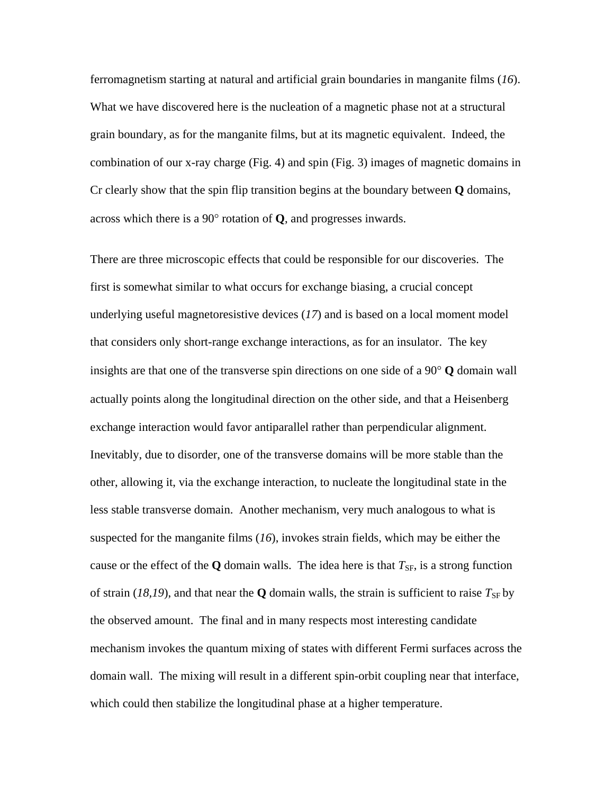ferromagnetism starting at natural and artificial grain boundaries in manganite films (*16*). What we have discovered here is the nucleation of a magnetic phase not at a structural grain boundary, as for the manganite films, but at its magnetic equivalent. Indeed, the combination of our x-ray charge (Fig. 4) and spin (Fig. 3) images of magnetic domains in Cr clearly show that the spin flip transition begins at the boundary between **Q** domains, across which there is a 90° rotation of **Q**, and progresses inwards.

There are three microscopic effects that could be responsible for our discoveries. The first is somewhat similar to what occurs for exchange biasing, a crucial concept underlying useful magnetoresistive devices (*17*) and is based on a local moment model that considers only short-range exchange interactions, as for an insulator. The key insights are that one of the transverse spin directions on one side of a 90° **Q** domain wall actually points along the longitudinal direction on the other side, and that a Heisenberg exchange interaction would favor antiparallel rather than perpendicular alignment. Inevitably, due to disorder, one of the transverse domains will be more stable than the other, allowing it, via the exchange interaction, to nucleate the longitudinal state in the less stable transverse domain. Another mechanism, very much analogous to what is suspected for the manganite films (*16*), invokes strain fields, which may be either the cause or the effect of the  $Q$  domain walls. The idea here is that  $T_{SF}$ , is a strong function of strain (18,19), and that near the  $\bf{Q}$  domain walls, the strain is sufficient to raise  $T_{\rm SF}$  by the observed amount. The final and in many respects most interesting candidate mechanism invokes the quantum mixing of states with different Fermi surfaces across the domain wall. The mixing will result in a different spin-orbit coupling near that interface, which could then stabilize the longitudinal phase at a higher temperature.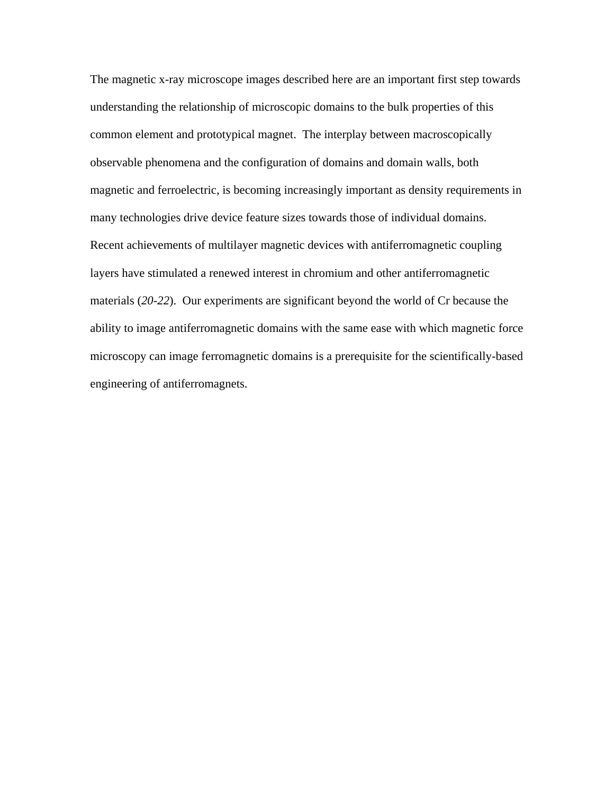The magnetic x-ray microscope images described here are an important first step towards understanding the relationship of microscopic domains to the bulk properties of this common element and prototypical magnet. The interplay between macroscopically observable phenomena and the configuration of domains and domain walls, both magnetic and ferroelectric, is becoming increasingly important as density requirements in many technologies drive device feature sizes towards those of individual domains. Recent achievements of multilayer magnetic devices with antiferromagnetic coupling layers have stimulated a renewed interest in chromium and other antiferromagnetic materials (*20-22*). Our experiments are significant beyond the world of Cr because the ability to image antiferromagnetic domains with the same ease with which magnetic force microscopy can image ferromagnetic domains is a prerequisite for the scientifically-based engineering of antiferromagnets.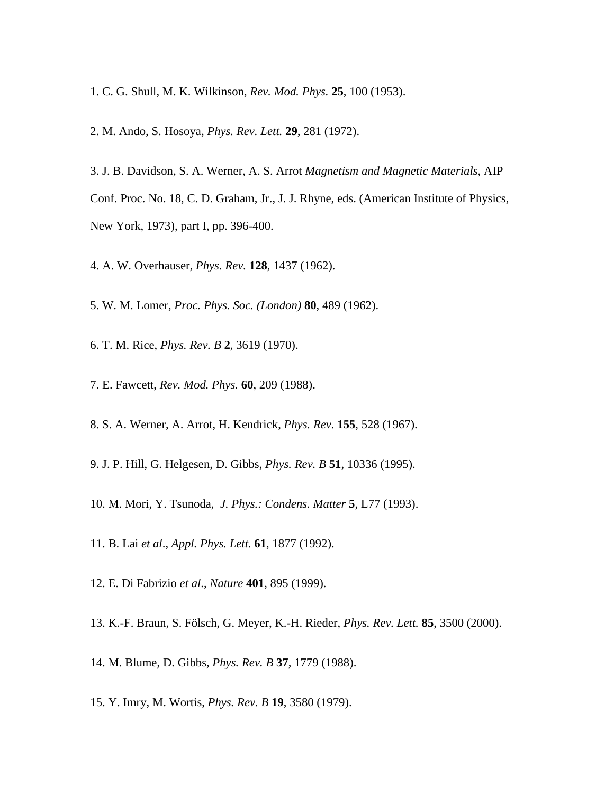- 1. C. G. Shull, M. K. Wilkinson, *Rev. Mod. Phys.* **25**, 100 (1953).
- 2. M. Ando, S. Hosoya, *Phys. Rev. Lett.* **29**, 281 (1972).
- 3. J. B. Davidson, S. A. Werner, A. S. Arrot *Magnetism and Magnetic Materials*, AIP Conf. Proc. No. 18, C. D. Graham, Jr., J. J. Rhyne, eds. (American Institute of Physics, New York, 1973), part I, pp. 396-400.
- 4. A. W. Overhauser, *Phys. Rev.* **128**, 1437 (1962).
- 5. W. M. Lomer, *Proc. Phys. Soc. (London)* **80**, 489 (1962).
- 6. T. M. Rice, *Phys. Rev. B* **2**, 3619 (1970).
- 7. E. Fawcett, *Rev. Mod. Phys.* **60**, 209 (1988).
- 8. S. A. Werner, A. Arrot, H. Kendrick, *Phys. Rev.* **155**, 528 (1967).
- 9. J. P. Hill, G. Helgesen, D. Gibbs, *Phys. Rev. B* **51**, 10336 (1995).
- 10. M. Mori, Y. Tsunoda, *J. Phys.: Condens. Matter* **5**, L77 (1993).
- 11. B. Lai *et al*., *Appl. Phys. Lett.* **61**, 1877 (1992).
- 12. E. Di Fabrizio *et al*., *Nature* **401**, 895 (1999).
- 13. K.-F. Braun, S. Fölsch, G. Meyer, K.-H. Rieder, *Phys. Rev. Lett.* **85**, 3500 (2000).
- 14. M. Blume, D. Gibbs, *Phys. Rev. B* **37**, 1779 (1988).
- 15. Y. Imry, M. Wortis, *Phys. Rev. B* **19**, 3580 (1979).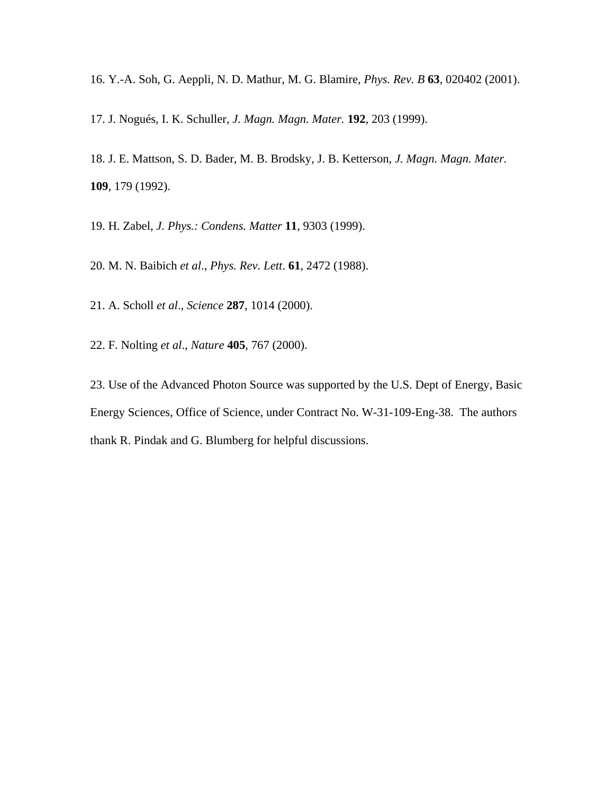- 16. Y.-A. Soh, G. Aeppli, N. D. Mathur, M. G. Blamire, *Phys. Rev. B* **63**, 020402 (2001).
- 17. J. Nogués, I. K. Schuller, *J. Magn. Magn. Mater.* **192**, 203 (1999).
- 18. J. E. Mattson, S. D. Bader, M. B. Brodsky, J. B. Ketterson, *J. Magn. Magn. Mater.*  **109**, 179 (1992).
- 19. H. Zabel, *J. Phys.: Condens. Matter* **11**, 9303 (1999).
- 20. M. N. Baibich *et al*., *Phys. Rev. Lett*. **61**, 2472 (1988).
- 21. A. Scholl *et al*., *Science* **287**, 1014 (2000).
- 22. F. Nolting *et al*., *Nature* **405**, 767 (2000).
- 23. Use of the Advanced Photon Source was supported by the U.S. Dept of Energy, Basic Energy Sciences, Office of Science, under Contract No. W-31-109-Eng-38. The authors thank R. Pindak and G. Blumberg for helpful discussions.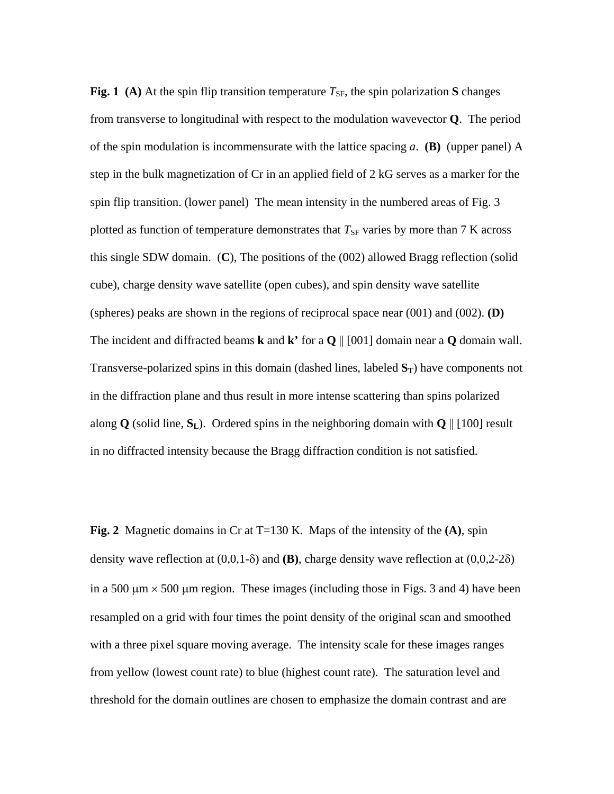**Fig. 1** (A) At the spin flip transition temperature  $T_{SF}$ , the spin polarization **S** changes from transverse to longitudinal with respect to the modulation wavevector **Q**. The period of the spin modulation is incommensurate with the lattice spacing *a*. **(B)** (upper panel) A step in the bulk magnetization of Cr in an applied field of 2 kG serves as a marker for the spin flip transition. (lower panel) The mean intensity in the numbered areas of Fig. 3 plotted as function of temperature demonstrates that  $T_{SF}$  varies by more than 7 K across this single SDW domain. (**C**), The positions of the (002) allowed Bragg reflection (solid cube), charge density wave satellite (open cubes), and spin density wave satellite (spheres) peaks are shown in the regions of reciprocal space near (001) and (002). **(D)** The incident and diffracted beams **k** and **k**<sup>*s*</sup> for a **Q**  $||$  [001] domain near a **Q** domain wall. Transverse-polarized spins in this domain (dashed lines, labeled  $S_T$ ) have components not in the diffraction plane and thus result in more intense scattering than spins polarized along  $\bf{Q}$  (solid line,  $\bf{S}_L$ ). Ordered spins in the neighboring domain with  $\bf{Q} \parallel [100]$  result in no diffracted intensity because the Bragg diffraction condition is not satisfied.

**Fig. 2** Magnetic domains in Cr at T=130 K. Maps of the intensity of the **(A)**, spin density wave reflection at (0,0,1-δ) and **(B)**, charge density wave reflection at (0,0,2-2δ) in a 500  $\mu$ m  $\times$  500  $\mu$ m region. These images (including those in Figs. 3 and 4) have been resampled on a grid with four times the point density of the original scan and smoothed with a three pixel square moving average. The intensity scale for these images ranges from yellow (lowest count rate) to blue (highest count rate). The saturation level and threshold for the domain outlines are chosen to emphasize the domain contrast and are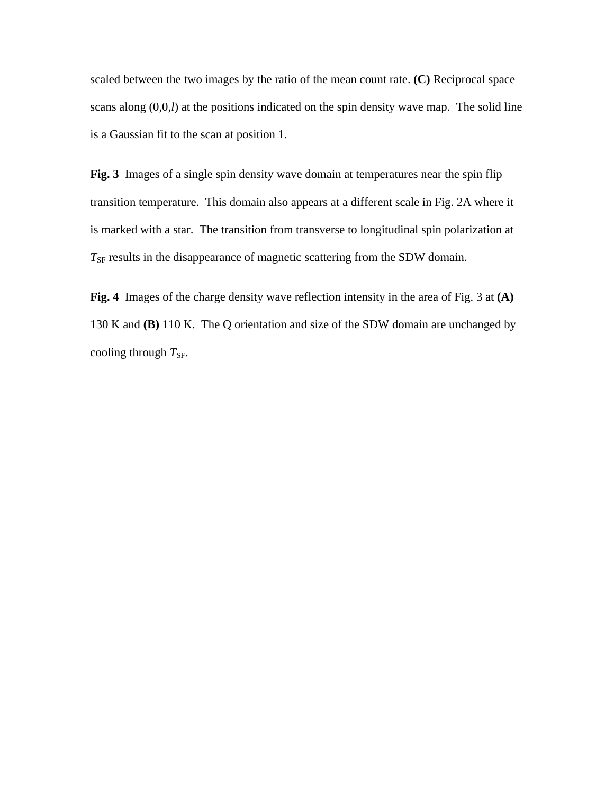scaled between the two images by the ratio of the mean count rate. **(C)** Reciprocal space scans along (0,0,*l*) at the positions indicated on the spin density wave map. The solid line is a Gaussian fit to the scan at position 1.

**Fig. 3** Images of a single spin density wave domain at temperatures near the spin flip transition temperature. This domain also appears at a different scale in Fig. 2A where it is marked with a star. The transition from transverse to longitudinal spin polarization at  $T_{\rm SF}$  results in the disappearance of magnetic scattering from the SDW domain.

**Fig. 4** Images of the charge density wave reflection intensity in the area of Fig. 3 at **(A)** 130 K and **(B)** 110 K. The Q orientation and size of the SDW domain are unchanged by cooling through  $T_{SF}$ .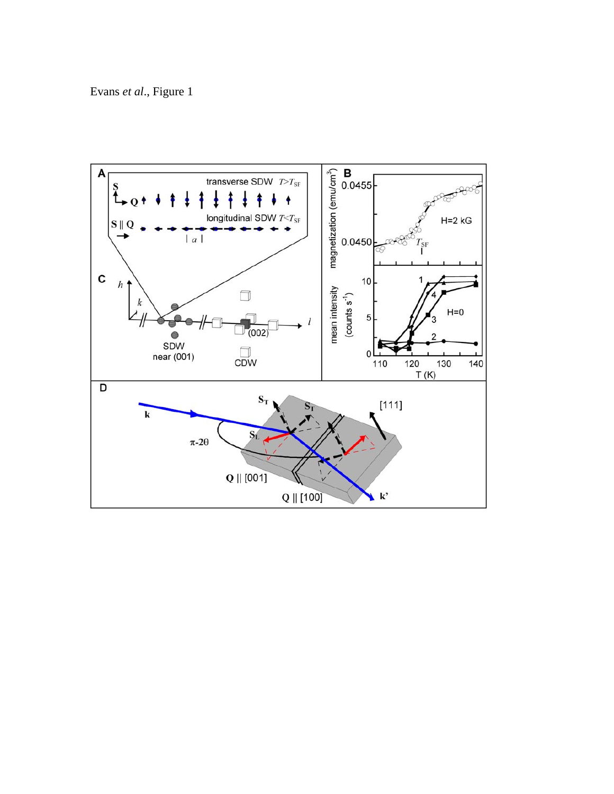Evans *et al*., Figure 1

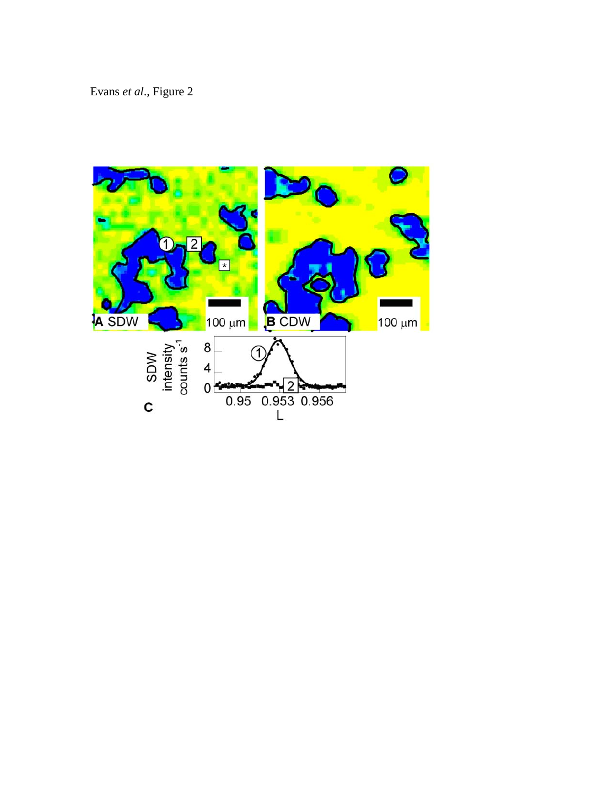Evans *et al*., Figure 2

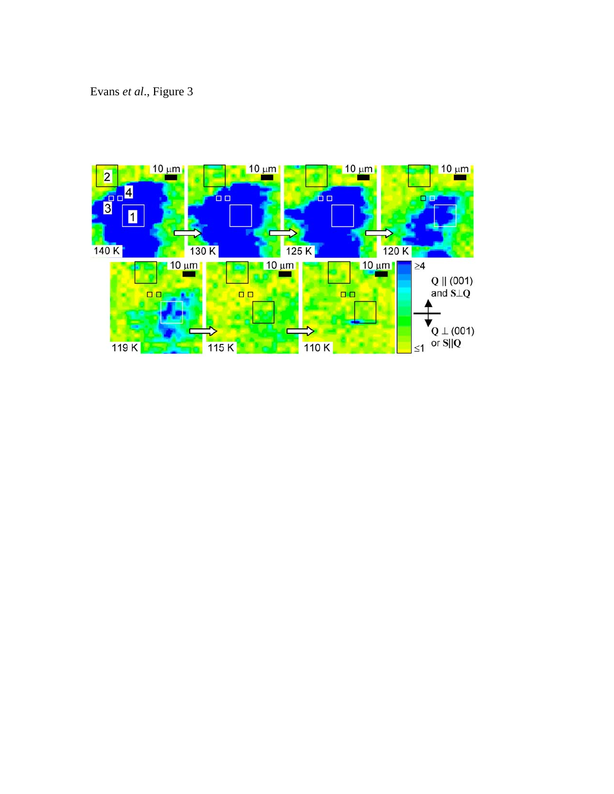Evans *et al*., Figure 3